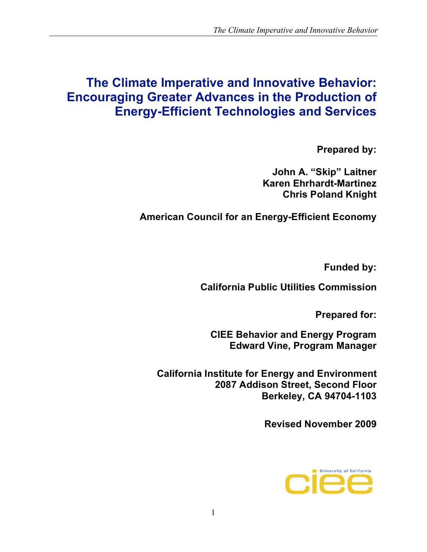# **The Climate Imperative and Innovative Behavior: Encouraging Greater Advances in the Production of Energy-Efficient Technologies and Services**

**Prepared by:** 

**John A. "Skip" Laitner Karen Ehrhardt-Martinez Chris Poland Knight**

**American Council for an Energy-Efficient Economy** 

**Funded by:**

 **California Public Utilities Commission** 

**Prepared for:**

 **CIEE Behavior and Energy Program Edward Vine, Program Manager**

**California Institute for Energy and Environment 2087 Addison Street, Second Floor Berkeley, CA 94704-1103**

**Revised November 2009**

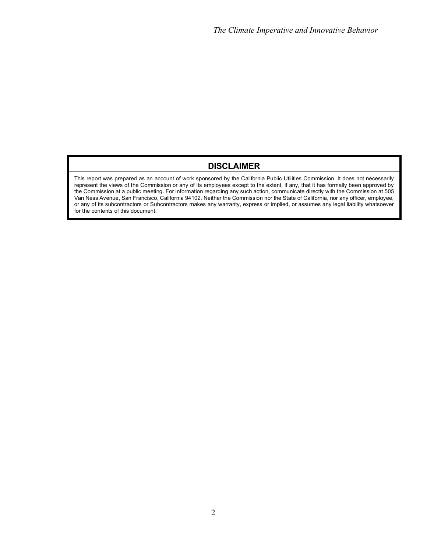#### **DISCLAIMER**

This report was prepared as an account of work sponsored by the California Public Utilities Commission. It does not necessarily represent the views of the Commission or any of its employees except to the extent, if any, that it has formally been approved by the Commission at a public meeting. For information regarding any such action, communicate directly with the Commission at 505 Van Ness Avenue, San Francisco, California 94102. Neither the Commission nor the State of California, nor any officer, employee, or any of its subcontractors or Subcontractors makes any warranty, express or implied, or assumes any legal liability whatsoever for the contents of this document.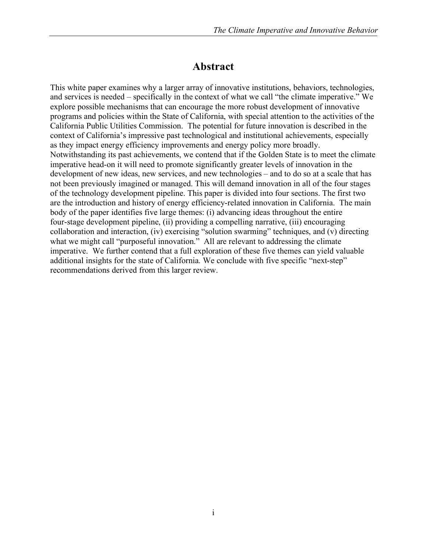#### **Abstract**

This white paper examines why a larger array of innovative institutions, behaviors, technologies, and services is needed – specifically in the context of what we call "the climate imperative." We explore possible mechanisms that can encourage the more robust development of innovative programs and policies within the State of California, with special attention to the activities of the California Public Utilities Commission. The potential for future innovation is described in the context of California's impressive past technological and institutional achievements, especially as they impact energy efficiency improvements and energy policy more broadly. Notwithstanding its past achievements, we contend that if the Golden State is to meet the climate imperative head-on it will need to promote significantly greater levels of innovation in the development of new ideas, new services, and new technologies – and to do so at a scale that has not been previously imagined or managed. This will demand innovation in all of the four stages of the technology development pipeline. This paper is divided into four sections. The first two are the introduction and history of energy efficiency-related innovation in California. The main body of the paper identifies five large themes: (i) advancing ideas throughout the entire four-stage development pipeline, (ii) providing a compelling narrative, (iii) encouraging collaboration and interaction, (iv) exercising "solution swarming" techniques, and (v) directing what we might call "purposeful innovation." All are relevant to addressing the climate imperative. We further contend that a full exploration of these five themes can yield valuable additional insights for the state of California. We conclude with five specific "next-step" recommendations derived from this larger review.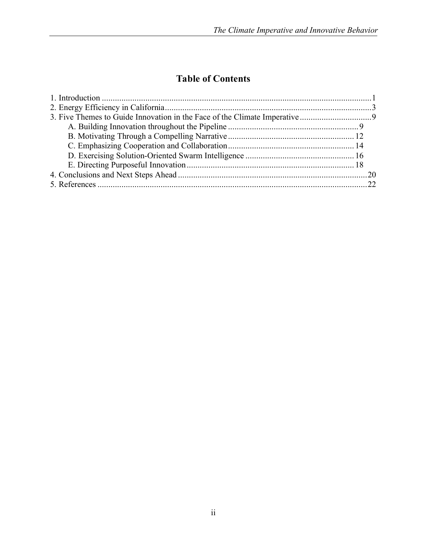## **Table of Contents**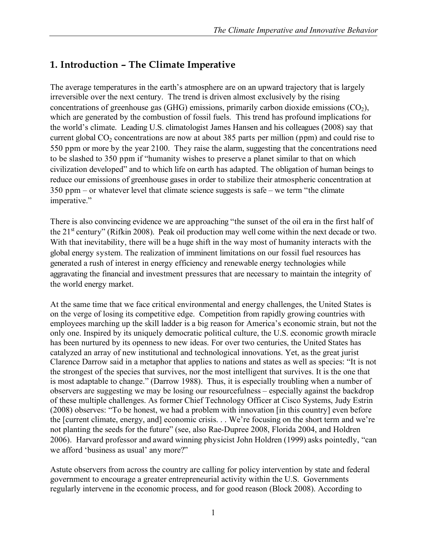### **1. Introduction – The Climate Imperative**

The average temperatures in the earth's atmosphere are on an upward trajectory that is largely irreversible over the next century. The trend is driven almost exclusively by the rising concentrations of greenhouse gas (GHG) emissions, primarily carbon dioxide emissions  $(CO<sub>2</sub>)$ , which are generated by the combustion of fossil fuels. This trend has profound implications for the world's climate. Leading U.S. climatologist James Hansen and his colleagues (2008) say that current global  $CO_2$  concentrations are now at about 385 parts per million (ppm) and could rise to 550 ppm or more by the year 2100. They raise the alarm, suggesting that the concentrations need to be slashed to 350 ppm if "humanity wishes to preserve a planet similar to that on which civilization developed" and to which life on earth has adapted. The obligation of human beings to reduce our emissions of greenhouse gases in order to stabilize their atmospheric concentration at 350 ppm – or whatever level that climate science suggests is safe – we term "the climate imperative."

There is also convincing evidence we are approaching "the sunset of the oil era in the first half of the  $21<sup>st</sup>$  century" (Rifkin 2008). Peak oil production may well come within the next decade or two. With that inevitability, there will be a huge shift in the way most of humanity interacts with the global energy system. The realization of imminent limitations on our fossil fuel resources has generated a rush of interest in energy efficiency and renewable energy technologies while aggravating the financial and investment pressures that are necessary to maintain the integrity of the world energy market.

At the same time that we face critical environmental and energy challenges, the United States is on the verge of losing its competitive edge. Competition from rapidly growing countries with employees marching up the skill ladder is a big reason for America's economic strain, but not the only one. Inspired by its uniquely democratic political culture, the U.S. economic growth miracle has been nurtured by its openness to new ideas. For over two centuries, the United States has catalyzed an array of new institutional and technological innovations. Yet, as the great jurist Clarence Darrow said in a metaphor that applies to nations and states as well as species: "It is not the strongest of the species that survives, nor the most intelligent that survives. It is the one that is most adaptable to change." (Darrow 1988). Thus, it is especially troubling when a number of observers are suggesting we may be losing our resourcefulness – especially against the backdrop of these multiple challenges. As former Chief Technology Officer at Cisco Systems, Judy Estrin (2008) observes: "To be honest, we had a problem with innovation [in this country] even before the [current climate, energy, and] economic crisis. . . We're focusing on the short term and we're not planting the seeds for the future" (see, also Rae-Dupree 2008, Florida 2004, and Holdren 2006). Harvard professor and award winning physicist John Holdren (1999) asks pointedly, "can we afford 'business as usual' any more?"

Astute observers from across the country are calling for policy intervention by state and federal government to encourage a greater entrepreneurial activity within the U.S. Governments regularly intervene in the economic process, and for good reason (Block 2008). According to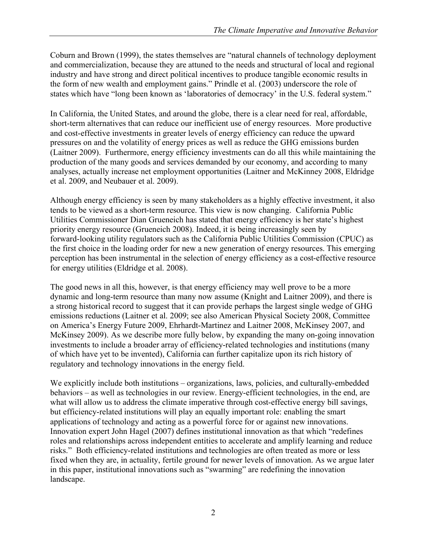Coburn and Brown (1999), the states themselves are "natural channels of technology deployment and commercialization, because they are attuned to the needs and structural of local and regional industry and have strong and direct political incentives to produce tangible economic results in the form of new wealth and employment gains." Prindle et al. (2003) underscore the role of states which have "long been known as 'laboratories of democracy' in the U.S. federal system."

In California, the United States, and around the globe, there is a clear need for real, affordable, short-term alternatives that can reduce our inefficient use of energy resources. More productive and cost-effective investments in greater levels of energy efficiency can reduce the upward pressures on and the volatility of energy prices as well as reduce the GHG emissions burden (Laitner 2009). Furthermore, energy efficiency investments can do all this while maintaining the production of the many goods and services demanded by our economy, and according to many analyses, actually increase net employment opportunities (Laitner and McKinney 2008, Eldridge et al. 2009, and Neubauer et al. 2009).

Although energy efficiency is seen by many stakeholders as a highly effective investment, it also tends to be viewed as a short-term resource. This view is now changing. California Public Utilities Commissioner Dian Grueneich has stated that energy efficiency is her state's highest priority energy resource (Grueneich 2008). Indeed, it is being increasingly seen by forward-looking utility regulators such as the California Public Utilities Commission (CPUC) as the first choice in the loading order for new a new generation of energy resources. This emerging perception has been instrumental in the selection of energy efficiency as a cost-effective resource for energy utilities (Eldridge et al. 2008).

The good news in all this, however, is that energy efficiency may well prove to be a more dynamic and long-term resource than many now assume (Knight and Laitner 2009), and there is a strong historical record to suggest that it can provide perhaps the largest single wedge of GHG emissions reductions (Laitner et al. 2009; see also American Physical Society 2008, Committee on America's Energy Future 2009, Ehrhardt-Martinez and Laitner 2008, McKinsey 2007, and McKinsey 2009). As we describe more fully below, by expanding the many on-going innovation investments to include a broader array of efficiency-related technologies and institutions (many of which have yet to be invented), California can further capitalize upon its rich history of regulatory and technology innovations in the energy field.

We explicitly include both institutions – organizations, laws, policies, and culturally-embedded behaviors – as well as technologies in our review. Energy-efficient technologies, in the end, are what will allow us to address the climate imperative through cost-effective energy bill savings, but efficiency-related institutions will play an equally important role: enabling the smart applications of technology and acting as a powerful force for or against new innovations. Innovation expert John Hagel (2007) defines institutional innovation as that which "redefines roles and relationships across independent entities to accelerate and amplify learning and reduce risks." Both efficiency-related institutions and technologies are often treated as more or less fixed when they are, in actuality, fertile ground for newer levels of innovation. As we argue later in this paper, institutional innovations such as "swarming" are redefining the innovation landscape.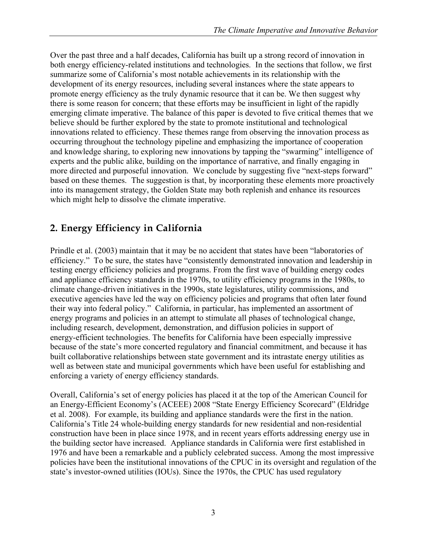Over the past three and a half decades, California has built up a strong record of innovation in both energy efficiency-related institutions and technologies. In the sections that follow, we first summarize some of California's most notable achievements in its relationship with the development of its energy resources, including several instances where the state appears to promote energy efficiency as the truly dynamic resource that it can be. We then suggest why there is some reason for concern; that these efforts may be insufficient in light of the rapidly emerging climate imperative. The balance of this paper is devoted to five critical themes that we believe should be further explored by the state to promote institutional and technological innovations related to efficiency. These themes range from observing the innovation process as occurring throughout the technology pipeline and emphasizing the importance of cooperation and knowledge sharing, to exploring new innovations by tapping the "swarming" intelligence of experts and the public alike, building on the importance of narrative, and finally engaging in more directed and purposeful innovation. We conclude by suggesting five "next-steps forward" based on these themes. The suggestion is that, by incorporating these elements more proactively into its management strategy, the Golden State may both replenish and enhance its resources which might help to dissolve the climate imperative.

### **2. Energy Efficiency in California**

Prindle et al. (2003) maintain that it may be no accident that states have been "laboratories of efficiency." To be sure, the states have "consistently demonstrated innovation and leadership in testing energy efficiency policies and programs. From the first wave of building energy codes and appliance efficiency standards in the 1970s, to utility efficiency programs in the 1980s, to climate change-driven initiatives in the 1990s, state legislatures, utility commissions, and executive agencies have led the way on efficiency policies and programs that often later found their way into federal policy." California, in particular, has implemented an assortment of energy programs and policies in an attempt to stimulate all phases of technological change, including research, development, demonstration, and diffusion policies in support of energy-efficient technologies. The benefits for California have been especially impressive because of the state's more concerted regulatory and financial commitment, and because it has built collaborative relationships between state government and its intrastate energy utilities as well as between state and municipal governments which have been useful for establishing and enforcing a variety of energy efficiency standards.

Overall, California's set of energy policies has placed it at the top of the American Council for an Energy-Efficient Economy's (ACEEE) 2008 "State Energy Efficiency Scorecard" (Eldridge et al. 2008). For example, its building and appliance standards were the first in the nation. California's Title 24 whole-building energy standards for new residential and non-residential construction have been in place since 1978, and in recent years efforts addressing energy use in the building sector have increased. Appliance standards in California were first established in 1976 and have been a remarkable and a publicly celebrated success. Among the most impressive policies have been the institutional innovations of the CPUC in its oversight and regulation of the state's investor-owned utilities (IOUs). Since the 1970s, the CPUC has used regulatory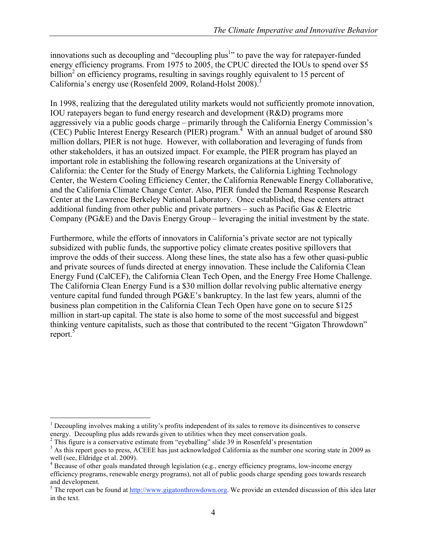innovations such as decoupling and "decoupling plus<sup>1</sup>" to pave the way for ratepayer-funded energy efficiency programs. From 1975 to 2005, the CPUC directed the IOUs to spend over \$5  $billion<sup>2</sup>$  on efficiency programs, resulting in savings roughly equivalent to 15 percent of California's energy use (Rosenfeld 2009, Roland-Holst 2008).<sup>3</sup>

In 1998, realizing that the deregulated utility markets would not sufficiently promote innovation, IOU ratepayers began to fund energy research and development (R&D) programs more aggressively via a public goods charge – primarily through the California Energy Commission's (CEC) Public Interest Energy Research (PIER) program.<sup>4</sup> With an annual budget of around \$80 million dollars, PIER is not huge. However, with collaboration and leveraging of funds from other stakeholders, it has an outsized impact. For example, the PIER program has played an important role in establishing the following research organizations at the University of California: the Center for the Study of Energy Markets, the California Lighting Technology Center, the Western Cooling Efficiency Center, the California Renewable Energy Collaborative, and the California Climate Change Center. Also, PIER funded the Demand Response Research Center at the Lawrence Berkeley National Laboratory. Once established, these centers attract additional funding from other public and private partners – such as Pacific Gas & Electric Company (PG&E) and the Davis Energy Group – leveraging the initial investment by the state.

Furthermore, while the efforts of innovators in California's private sector are not typically subsidized with public funds, the supportive policy climate creates positive spillovers that improve the odds of their success. Along these lines, the state also has a few other quasi-public and private sources of funds directed at energy innovation. These include the California Clean Energy Fund (CalCEF), the California Clean Tech Open, and the Energy Free Home Challenge. The California Clean Energy Fund is a \$30 million dollar revolving public alternative energy venture capital fund funded through PG&E's bankruptcy. In the last few years, alumni of the business plan competition in the California Clean Tech Open have gone on to secure \$125 million in start-up capital. The state is also home to some of the most successful and biggest thinking venture capitalists, such as those that contributed to the recent "Gigaton Throwdown" report. $5$ 

 $\frac{1}{1}$  $<sup>1</sup>$  Decoupling involves making a utility's profits independent of its sales to remove its disincentives to conserve</sup>

energy. Decoupling plus adds rewards given to utilities when they meet conservation goals.<br><sup>2</sup> This figure is a conservative estimate from "eyeballing" slide 39 in Rosenfeld's presentation

<sup>&</sup>lt;sup>3</sup> As this report goes to press, ACEEE has just acknowledged California as the number one scoring state in 2009 as well (see, Eldridge et al. 2009).

<sup>&</sup>lt;sup>4</sup> Because of other goals mandated through legislation (e.g., energy efficiency programs, low-income energy efficiency programs, renewable energy programs), not all of public goods charge spending goes towards research and development.

<sup>&</sup>lt;sup>5</sup> The report can be found at  $\frac{http://www.gigatonthrowdown.org.}$  We provide an extended discussion of this idea later in the text.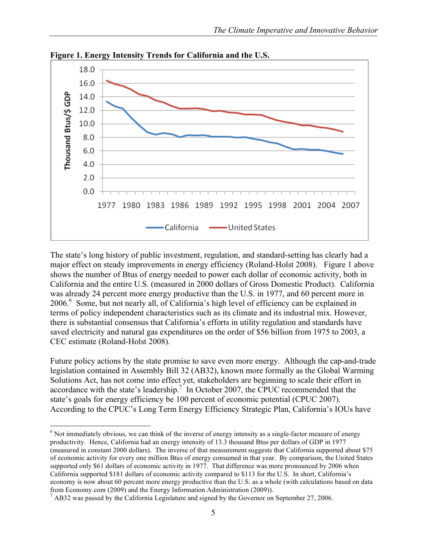

**Figure 1. Energy Intensity Trends for California and the U.S.**

The state's long history of public investment, regulation, and standard-setting has clearly had a major effect on steady improvements in energy efficiency (Roland-Holst 2008). Figure 1 above shows the number of Btus of energy needed to power each dollar of economic activity, both in California and the entire U.S. (measured in 2000 dollars of Gross Domestic Product). California was already 24 percent more energy productive than the U.S. in 1977, and 60 percent more in 2006.6 Some, but not nearly all, of California's high level of efficiency can be explained in terms of policy independent characteristics such as its climate and its industrial mix. However, there is substantial consensus that California's efforts in utility regulation and standards have saved electricity and natural gas expenditures on the order of \$56 billion from 1975 to 2003, a CEC estimate (Roland-Holst 2008).

Future policy actions by the state promise to save even more energy. Although the cap-and-trade legislation contained in Assembly Bill 32 (AB32), known more formally as the Global Warming Solutions Act, has not come into effect yet, stakeholders are beginning to scale their effort in accordance with the state's leadership.<sup>7</sup> In October 2007, the CPUC recommended that the state's goals for energy efficiency be 100 percent of economic potential (CPUC 2007). According to the CPUC's Long Term Energy Efficiency Strategic Plan, California's IOUs have

 $\frac{1}{6}$ <sup>6</sup> Not immediately obvious, we can think of the inverse of energy intensity as a single-factor measure of energy productivity. Hence, California had an energy intensity of 13.3 thousand Btus per dollars of GDP in 1977 (measured in constant 2000 dollars). The inverse of that measurement suggests that California supported about \$75 of economic activity for every one million Btus of energy consumed in that year. By comparison, the United States supported only \$61 dollars of economic activity in 1977. That difference was more pronounced by 2006 when California supported \$181 dollars of economic activity compared to \$113 for the U.S. In short, California's economy is now about 60 percent more energy productive than the U.S. as a whole (with calculations based on data from Economy.com (2009) and the Energy Information Administration (2009)).

 $^7$  AB32 was passed by the California Legislature and signed by the Governor on September 27, 2006.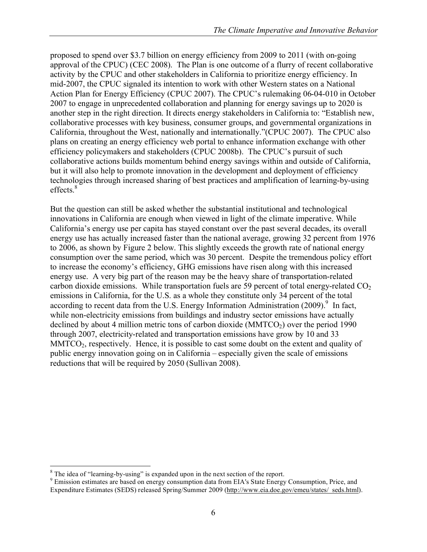proposed to spend over \$3.7 billion on energy efficiency from 2009 to 2011 (with on-going approval of the CPUC) (CEC 2008). The Plan is one outcome of a flurry of recent collaborative activity by the CPUC and other stakeholders in California to prioritize energy efficiency. In mid-2007, the CPUC signaled its intention to work with other Western states on a National Action Plan for Energy Efficiency (CPUC 2007). The CPUC's rulemaking 06-04-010 in October 2007 to engage in unprecedented collaboration and planning for energy savings up to 2020 is another step in the right direction. It directs energy stakeholders in California to: "Establish new, collaborative processes with key business, consumer groups, and governmental organizations in California, throughout the West, nationally and internationally."(CPUC 2007). The CPUC also plans on creating an energy efficiency web portal to enhance information exchange with other efficiency policymakers and stakeholders (CPUC 2008b). The CPUC's pursuit of such collaborative actions builds momentum behind energy savings within and outside of California, but it will also help to promote innovation in the development and deployment of efficiency technologies through increased sharing of best practices and amplification of learning-by-using effects.<sup>8</sup>

But the question can still be asked whether the substantial institutional and technological innovations in California are enough when viewed in light of the climate imperative. While California's energy use per capita has stayed constant over the past several decades, its overall energy use has actually increased faster than the national average, growing 32 percent from 1976 to 2006, as shown by Figure 2 below. This slightly exceeds the growth rate of national energy consumption over the same period, which was 30 percent. Despite the tremendous policy effort to increase the economy's efficiency, GHG emissions have risen along with this increased energy use. A very big part of the reason may be the heavy share of transportation-related carbon dioxide emissions. While transportation fuels are 59 percent of total energy-related  $CO<sub>2</sub>$ emissions in California, for the U.S. as a whole they constitute only 34 percent of the total according to recent data from the U.S. Energy Information Administration (2009).<sup>9</sup> In fact, while non-electricity emissions from buildings and industry sector emissions have actually declined by about 4 million metric tons of carbon dioxide ( $MMTCO<sub>2</sub>$ ) over the period 1990 through 2007, electricity-related and transportation emissions have grow by 10 and 33  $MMTCO<sub>2</sub>$ , respectively. Hence, it is possible to cast some doubt on the extent and quality of public energy innovation going on in California – especially given the scale of emissions reductions that will be required by 2050 (Sullivan 2008).

 <sup>8</sup>

<sup>&</sup>lt;sup>8</sup> The idea of "learning-by-using" is expanded upon in the next section of the report.<br><sup>9</sup> Emission estimates are based on energy consumption data from EIA's State Energy Consumption, Price, and Expenditure Estimates (SEDS) released Spring/Summer 2009 (http://www.eia.doe.gov/emeu/states/\_seds.html).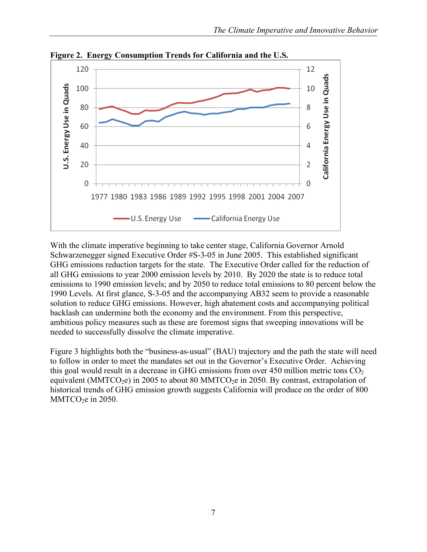

**Figure 2. Energy Consumption Trends for California and the U.S.**

With the climate imperative beginning to take center stage, California Governor Arnold Schwarzenegger signed Executive Order #S-3-05 in June 2005. This established significant GHG emissions reduction targets for the state. The Executive Order called for the reduction of all GHG emissions to year 2000 emission levels by 2010. By 2020 the state is to reduce total emissions to 1990 emission levels; and by 2050 to reduce total emissions to 80 percent below the 1990 Levels. At first glance, S-3-05 and the accompanying AB32 seem to provide a reasonable solution to reduce GHG emissions. However, high abatement costs and accompanying political backlash can undermine both the economy and the environment. From this perspective, ambitious policy measures such as these are foremost signs that sweeping innovations will be needed to successfully dissolve the climate imperative.

Figure 3 highlights both the "business-as-usual" (BAU) trajectory and the path the state will need to follow in order to meet the mandates set out in the Governor's Executive Order. Achieving this goal would result in a decrease in GHG emissions from over 450 million metric tons  $CO<sub>2</sub>$ equivalent (MMTCO<sub>2</sub>e) in 2005 to about 80 MMTCO<sub>2</sub>e in 2050. By contrast, extrapolation of historical trends of GHG emission growth suggests California will produce on the order of 800  $MMTCO<sub>2</sub>e$  in 2050.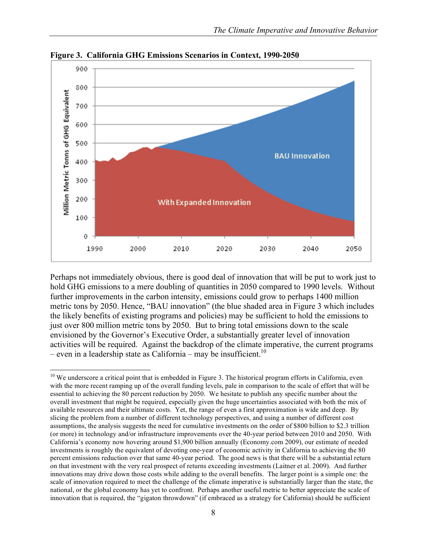

**Figure 3. California GHG Emissions Scenarios in Context, 1990-2050**

Perhaps not immediately obvious, there is good deal of innovation that will be put to work just to hold GHG emissions to a mere doubling of quantities in 2050 compared to 1990 levels. Without further improvements in the carbon intensity, emissions could grow to perhaps 1400 million metric tons by 2050. Hence, "BAU innovation" (the blue shaded area in Figure 3 which includes the likely benefits of existing programs and policies) may be sufficient to hold the emissions to just over 800 million metric tons by 2050. But to bring total emissions down to the scale envisioned by the Governor's Executive Order, a substantially greater level of innovation activities will be required. Against the backdrop of the climate imperative, the current programs – even in a leadership state as California – may be insufficient.<sup>10</sup>

 $10$  We underscore a critical point that is embedded in Figure 3. The historical program efforts in California, even with the more recent ramping up of the overall funding levels, pale in comparison to the scale of effort that will be essential to achieving the 80 percent reduction by 2050. We hesitate to publish any specific number about the overall investment that might be required, especially given the huge uncertainties associated with both the mix of available resources and their ultimate costs. Yet, the range of even a first approximation is wide and deep. By slicing the problem from a number of different technology perspectives, and using a number of different cost assumptions, the analysis suggests the need for cumulative investments on the order of \$800 billion to \$2.3 trillion (or more) in technology and/or infrastructure improvements over the 40-year period between 2010 and 2050. With California's economy now hovering around \$1,900 billion annually (Economy.com 2009), our estimate of needed investments is roughly the equivalent of devoting one-year of economic activity in California to achieving the 80 percent emissions reduction over that same 40-year period. The good news is that there will be a substantial return on that investment with the very real prospect of returns exceeding investments (Laitner et al. 2009). And further innovations may drive down those costs while adding to the overall benefits. The larger point is a simple one: the scale of innovation required to meet the challenge of the climate imperative is substantially larger than the state, the national, or the global economy has yet to confront. Perhaps another useful metric to better appreciate the scale of innovation that is required, the "gigaton throwdown" (if embraced as a strategy for California) should be sufficient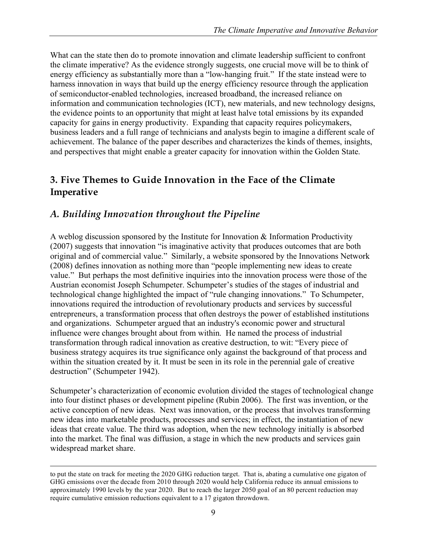What can the state then do to promote innovation and climate leadership sufficient to confront the climate imperative? As the evidence strongly suggests, one crucial move will be to think of energy efficiency as substantially more than a "low-hanging fruit." If the state instead were to harness innovation in ways that build up the energy efficiency resource through the application of semiconductor-enabled technologies, increased broadband, the increased reliance on information and communication technologies (ICT), new materials, and new technology designs, the evidence points to an opportunity that might at least halve total emissions by its expanded capacity for gains in energy productivity. Expanding that capacity requires policymakers, business leaders and a full range of technicians and analysts begin to imagine a different scale of achievement. The balance of the paper describes and characterizes the kinds of themes, insights, and perspectives that might enable a greater capacity for innovation within the Golden State.

#### **3. Five Themes to Guide Innovation in the Face of the Climate Imperative**

### *A. Building Innovation throughout the Pipeline*

A weblog discussion sponsored by the Institute for Innovation & Information Productivity (2007) suggests that innovation "is imaginative activity that produces outcomes that are both original and of commercial value." Similarly, a website sponsored by the Innovations Network (2008) defines innovation as nothing more than "people implementing new ideas to create value." But perhaps the most definitive inquiries into the innovation process were those of the Austrian economist Joseph Schumpeter. Schumpeter's studies of the stages of industrial and technological change highlighted the impact of "rule changing innovations." To Schumpeter, innovations required the introduction of revolutionary products and services by successful entrepreneurs, a transformation process that often destroys the power of established institutions and organizations. Schumpeter argued that an industry's economic power and structural influence were changes brought about from within. He named the process of industrial transformation through radical innovation as creative destruction, to wit: "Every piece of business strategy acquires its true significance only against the background of that process and within the situation created by it. It must be seen in its role in the perennial gale of creative destruction" (Schumpeter 1942).

Schumpeter's characterization of economic evolution divided the stages of technological change into four distinct phases or development pipeline (Rubin 2006). The first was invention, or the active conception of new ideas. Next was innovation, or the process that involves transforming new ideas into marketable products, processes and services; in effect, the instantiation of new ideas that create value. The third was adoption, when the new technology initially is absorbed into the market. The final was diffusion, a stage in which the new products and services gain widespread market share.

to put the state on track for meeting the 2020 GHG reduction target. That is, abating a cumulative one gigaton of GHG emissions over the decade from 2010 through 2020 would help California reduce its annual emissions to approximately 1990 levels by the year 2020. But to reach the larger 2050 goal of an 80 percent reduction may require cumulative emission reductions equivalent to a 17 gigaton throwdown.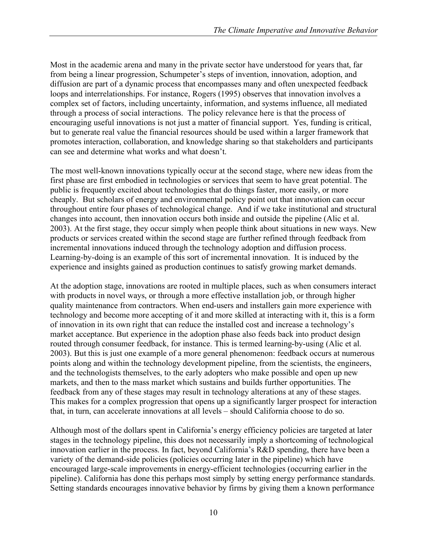Most in the academic arena and many in the private sector have understood for years that, far from being a linear progression, Schumpeter's steps of invention, innovation, adoption, and diffusion are part of a dynamic process that encompasses many and often unexpected feedback loops and interrelationships. For instance, Rogers (1995) observes that innovation involves a complex set of factors, including uncertainty, information, and systems influence, all mediated through a process of social interactions. The policy relevance here is that the process of encouraging useful innovations is not just a matter of financial support. Yes, funding is critical, but to generate real value the financial resources should be used within a larger framework that promotes interaction, collaboration, and knowledge sharing so that stakeholders and participants can see and determine what works and what doesn't.

The most well-known innovations typically occur at the second stage, where new ideas from the first phase are first embodied in technologies or services that seem to have great potential. The public is frequently excited about technologies that do things faster, more easily, or more cheaply. But scholars of energy and environmental policy point out that innovation can occur throughout entire four phases of technological change. And if we take institutional and structural changes into account, then innovation occurs both inside and outside the pipeline (Alic et al. 2003). At the first stage, they occur simply when people think about situations in new ways. New products or services created within the second stage are further refined through feedback from incremental innovations induced through the technology adoption and diffusion process. Learning-by-doing is an example of this sort of incremental innovation. It is induced by the experience and insights gained as production continues to satisfy growing market demands.

At the adoption stage, innovations are rooted in multiple places, such as when consumers interact with products in novel ways, or through a more effective installation job, or through higher quality maintenance from contractors. When end-users and installers gain more experience with technology and become more accepting of it and more skilled at interacting with it, this is a form of innovation in its own right that can reduce the installed cost and increase a technology's market acceptance. But experience in the adoption phase also feeds back into product design routed through consumer feedback, for instance. This is termed learning-by-using (Alic et al. 2003). But this is just one example of a more general phenomenon: feedback occurs at numerous points along and within the technology development pipeline, from the scientists, the engineers, and the technologists themselves, to the early adopters who make possible and open up new markets, and then to the mass market which sustains and builds further opportunities. The feedback from any of these stages may result in technology alterations at any of these stages. This makes for a complex progression that opens up a significantly larger prospect for interaction that, in turn, can accelerate innovations at all levels – should California choose to do so.

Although most of the dollars spent in California's energy efficiency policies are targeted at later stages in the technology pipeline, this does not necessarily imply a shortcoming of technological innovation earlier in the process. In fact, beyond California's R&D spending, there have been a variety of the demand-side policies (policies occurring later in the pipeline) which have encouraged large-scale improvements in energy-efficient technologies (occurring earlier in the pipeline). California has done this perhaps most simply by setting energy performance standards. Setting standards encourages innovative behavior by firms by giving them a known performance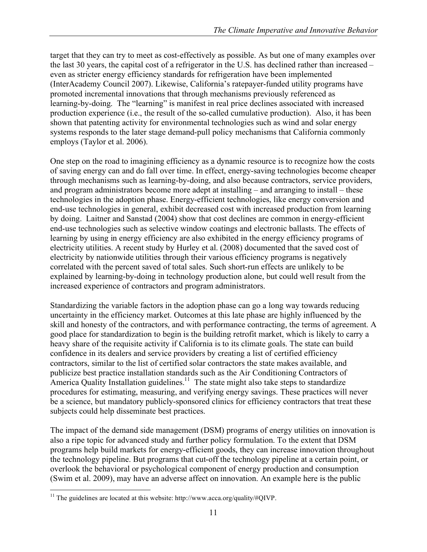target that they can try to meet as cost-effectively as possible. As but one of many examples over the last 30 years, the capital cost of a refrigerator in the U.S. has declined rather than increased – even as stricter energy efficiency standards for refrigeration have been implemented (InterAcademy Council 2007). Likewise, California's ratepayer-funded utility programs have promoted incremental innovations that through mechanisms previously referenced as learning-by-doing. The "learning" is manifest in real price declines associated with increased production experience (i.e., the result of the so-called cumulative production). Also, it has been shown that patenting activity for environmental technologies such as wind and solar energy systems responds to the later stage demand-pull policy mechanisms that California commonly employs (Taylor et al. 2006).

One step on the road to imagining efficiency as a dynamic resource is to recognize how the costs of saving energy can and do fall over time. In effect, energy-saving technologies become cheaper through mechanisms such as learning-by-doing, and also because contractors, service providers, and program administrators become more adept at installing – and arranging to install – these technologies in the adoption phase. Energy-efficient technologies, like energy conversion and end-use technologies in general, exhibit decreased cost with increased production from learning by doing. Laitner and Sanstad (2004) show that cost declines are common in energy-efficient end-use technologies such as selective window coatings and electronic ballasts. The effects of learning by using in energy efficiency are also exhibited in the energy efficiency programs of electricity utilities. A recent study by Hurley et al. (2008) documented that the saved cost of electricity by nationwide utilities through their various efficiency programs is negatively correlated with the percent saved of total sales. Such short-run effects are unlikely to be explained by learning-by-doing in technology production alone, but could well result from the increased experience of contractors and program administrators.

Standardizing the variable factors in the adoption phase can go a long way towards reducing uncertainty in the efficiency market. Outcomes at this late phase are highly influenced by the skill and honesty of the contractors, and with performance contracting, the terms of agreement. A good place for standardization to begin is the building retrofit market, which is likely to carry a heavy share of the requisite activity if California is to its climate goals. The state can build confidence in its dealers and service providers by creating a list of certified efficiency contractors, similar to the list of certified solar contractors the state makes available, and publicize best practice installation standards such as the Air Conditioning Contractors of America Quality Installation guidelines.<sup>11</sup> The state might also take steps to standardize procedures for estimating, measuring, and verifying energy savings. These practices will never be a science, but mandatory publicly-sponsored clinics for efficiency contractors that treat these subjects could help disseminate best practices.

The impact of the demand side management (DSM) programs of energy utilities on innovation is also a ripe topic for advanced study and further policy formulation. To the extent that DSM programs help build markets for energy-efficient goods, they can increase innovation throughout the technology pipeline. But programs that cut-off the technology pipeline at a certain point, or overlook the behavioral or psychological component of energy production and consumption (Swim et al. 2009), may have an adverse affect on innovation. An example here is the public

<sup>&</sup>lt;sup>11</sup> The guidelines are located at this website: http://www.acca.org/quality/#QIVP.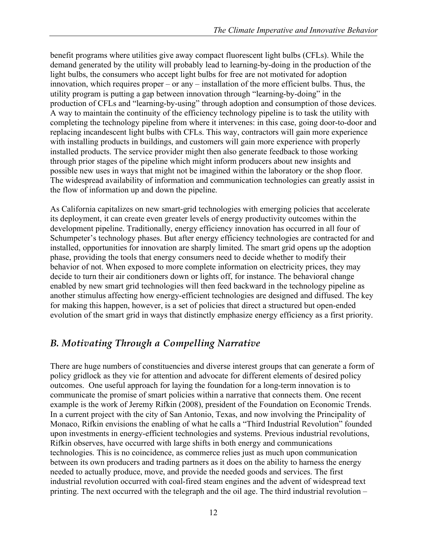benefit programs where utilities give away compact fluorescent light bulbs (CFLs). While the demand generated by the utility will probably lead to learning-by-doing in the production of the light bulbs, the consumers who accept light bulbs for free are not motivated for adoption innovation, which requires proper – or any – installation of the more efficient bulbs. Thus, the utility program is putting a gap between innovation through "learning-by-doing" in the production of CFLs and "learning-by-using" through adoption and consumption of those devices. A way to maintain the continuity of the efficiency technology pipeline is to task the utility with completing the technology pipeline from where it intervenes: in this case, going door-to-door and replacing incandescent light bulbs with CFLs. This way, contractors will gain more experience with installing products in buildings, and customers will gain more experience with properly installed products. The service provider might then also generate feedback to those working through prior stages of the pipeline which might inform producers about new insights and possible new uses in ways that might not be imagined within the laboratory or the shop floor. The widespread availability of information and communication technologies can greatly assist in the flow of information up and down the pipeline.

As California capitalizes on new smart-grid technologies with emerging policies that accelerate its deployment, it can create even greater levels of energy productivity outcomes within the development pipeline. Traditionally, energy efficiency innovation has occurred in all four of Schumpeter's technology phases. But after energy efficiency technologies are contracted for and installed, opportunities for innovation are sharply limited. The smart grid opens up the adoption phase, providing the tools that energy consumers need to decide whether to modify their behavior of not. When exposed to more complete information on electricity prices, they may decide to turn their air conditioners down or lights off, for instance. The behavioral change enabled by new smart grid technologies will then feed backward in the technology pipeline as another stimulus affecting how energy-efficient technologies are designed and diffused. The key for making this happen, however, is a set of policies that direct a structured but open-ended evolution of the smart grid in ways that distinctly emphasize energy efficiency as a first priority.

### *B. Motivating Through a Compelling Narrative*

There are huge numbers of constituencies and diverse interest groups that can generate a form of policy gridlock as they vie for attention and advocate for different elements of desired policy outcomes. One useful approach for laying the foundation for a long-term innovation is to communicate the promise of smart policies within a narrative that connects them. One recent example is the work of Jeremy Rifkin (2008), president of the Foundation on Economic Trends. In a current project with the city of San Antonio, Texas, and now involving the Principality of Monaco, Rifkin envisions the enabling of what he calls a "Third Industrial Revolution" founded upon investments in energy-efficient technologies and systems. Previous industrial revolutions, Rifkin observes, have occurred with large shifts in both energy and communications technologies. This is no coincidence, as commerce relies just as much upon communication between its own producers and trading partners as it does on the ability to harness the energy needed to actually produce, move, and provide the needed goods and services. The first industrial revolution occurred with coal-fired steam engines and the advent of widespread text printing. The next occurred with the telegraph and the oil age. The third industrial revolution –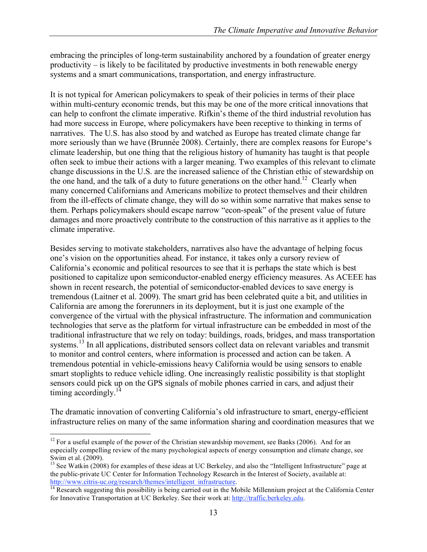embracing the principles of long-term sustainability anchored by a foundation of greater energy productivity – is likely to be facilitated by productive investments in both renewable energy systems and a smart communications, transportation, and energy infrastructure.

It is not typical for American policymakers to speak of their policies in terms of their place within multi-century economic trends, but this may be one of the more critical innovations that can help to confront the climate imperative. Rifkin's theme of the third industrial revolution has had more success in Europe, where policymakers have been receptive to thinking in terms of narratives. The U.S. has also stood by and watched as Europe has treated climate change far more seriously than we have (Brunnée 2008). Certainly, there are complex reasons for Europe's climate leadership, but one thing that the religious history of humanity has taught is that people often seek to imbue their actions with a larger meaning. Two examples of this relevant to climate change discussions in the U.S. are the increased salience of the Christian ethic of stewardship on the one hand, and the talk of a duty to future generations on the other hand.<sup>12</sup> Clearly when many concerned Californians and Americans mobilize to protect themselves and their children from the ill-effects of climate change, they will do so within some narrative that makes sense to them. Perhaps policymakers should escape narrow "econ-speak" of the present value of future damages and more proactively contribute to the construction of this narrative as it applies to the climate imperative.

Besides serving to motivate stakeholders, narratives also have the advantage of helping focus one's vision on the opportunities ahead. For instance, it takes only a cursory review of California's economic and political resources to see that it is perhaps the state which is best positioned to capitalize upon semiconductor-enabled energy efficiency measures. As ACEEE has shown in recent research, the potential of semiconductor-enabled devices to save energy is tremendous (Laitner et al. 2009). The smart grid has been celebrated quite a bit, and utilities in California are among the forerunners in its deployment, but it is just one example of the convergence of the virtual with the physical infrastructure. The information and communication technologies that serve as the platform for virtual infrastructure can be embedded in most of the traditional infrastructure that we rely on today: buildings, roads, bridges, and mass transportation systems.<sup>13</sup> In all applications, distributed sensors collect data on relevant variables and transmit to monitor and control centers, where information is processed and action can be taken. A tremendous potential in vehicle-emissions heavy California would be using sensors to enable smart stoplights to reduce vehicle idling. One increasingly realistic possibility is that stoplight sensors could pick up on the GPS signals of mobile phones carried in cars, and adjust their timing accordingly. $^{14}$ 

The dramatic innovation of converting California's old infrastructure to smart, energy-efficient infrastructure relies on many of the same information sharing and coordination measures that we

 $12$  For a useful example of the power of the Christian stewardship movement, see Banks (2006). And for an especially compelling review of the many psychological aspects of energy consumption and climate change, see Swim et al. (2009).

<sup>&</sup>lt;sup>13</sup> See Watkin (2008) for examples of these ideas at UC Berkeley, and also the "Intelligent Infrastructure" page at the public-private UC Center for Information Technology Research in the Interest of Society, available at:<br>http://www.citris-uc.org/research/themes/intelligent\_infrastructure.

 $\frac{14}{14}$  Research suggesting this possibility is being carried out in the Mobile Millennium project at the California Center for Innovative Transportation at UC Berkeley. See their work at: http://traffic.berkeley.edu.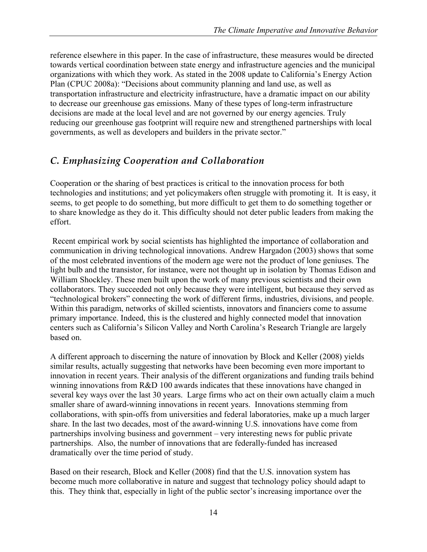reference elsewhere in this paper. In the case of infrastructure, these measures would be directed towards vertical coordination between state energy and infrastructure agencies and the municipal organizations with which they work. As stated in the 2008 update to California's Energy Action Plan (CPUC 2008a): "Decisions about community planning and land use, as well as transportation infrastructure and electricity infrastructure, have a dramatic impact on our ability to decrease our greenhouse gas emissions. Many of these types of long-term infrastructure decisions are made at the local level and are not governed by our energy agencies. Truly reducing our greenhouse gas footprint will require new and strengthened partnerships with local governments, as well as developers and builders in the private sector."

### *C. Emphasizing Cooperation and Collaboration*

Cooperation or the sharing of best practices is critical to the innovation process for both technologies and institutions; and yet policymakers often struggle with promoting it. It is easy, it seems, to get people to do something, but more difficult to get them to do something together or to share knowledge as they do it. This difficulty should not deter public leaders from making the effort.

 Recent empirical work by social scientists has highlighted the importance of collaboration and communication in driving technological innovations. Andrew Hargadon (2003) shows that some of the most celebrated inventions of the modern age were not the product of lone geniuses. The light bulb and the transistor, for instance, were not thought up in isolation by Thomas Edison and William Shockley. These men built upon the work of many previous scientists and their own collaborators. They succeeded not only because they were intelligent, but because they served as "technological brokers" connecting the work of different firms, industries, divisions, and people. Within this paradigm, networks of skilled scientists, innovators and financiers come to assume primary importance. Indeed, this is the clustered and highly connected model that innovation centers such as California's Silicon Valley and North Carolina's Research Triangle are largely based on.

A different approach to discerning the nature of innovation by Block and Keller (2008) yields similar results, actually suggesting that networks have been becoming even more important to innovation in recent years. Their analysis of the different organizations and funding trails behind winning innovations from R&D 100 awards indicates that these innovations have changed in several key ways over the last 30 years. Large firms who act on their own actually claim a much smaller share of award-winning innovations in recent years. Innovations stemming from collaborations, with spin-offs from universities and federal laboratories, make up a much larger share. In the last two decades, most of the award-winning U.S. innovations have come from partnerships involving business and government – very interesting news for public private partnerships. Also, the number of innovations that are federally-funded has increased dramatically over the time period of study.

Based on their research, Block and Keller (2008) find that the U.S. innovation system has become much more collaborative in nature and suggest that technology policy should adapt to this. They think that, especially in light of the public sector's increasing importance over the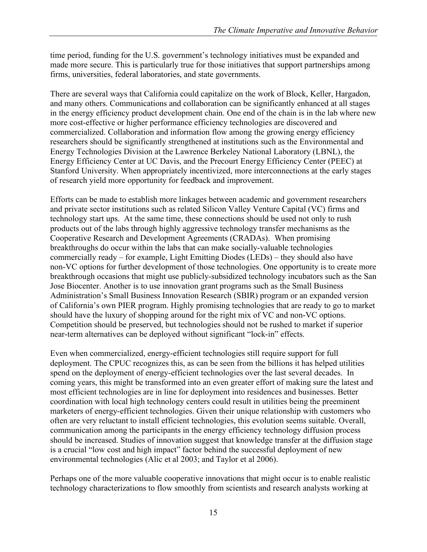time period, funding for the U.S. government's technology initiatives must be expanded and made more secure. This is particularly true for those initiatives that support partnerships among firms, universities, federal laboratories, and state governments.

There are several ways that California could capitalize on the work of Block, Keller, Hargadon, and many others. Communications and collaboration can be significantly enhanced at all stages in the energy efficiency product development chain. One end of the chain is in the lab where new more cost-effective or higher performance efficiency technologies are discovered and commercialized. Collaboration and information flow among the growing energy efficiency researchers should be significantly strengthened at institutions such as the Environmental and Energy Technologies Division at the Lawrence Berkeley National Laboratory (LBNL), the Energy Efficiency Center at UC Davis, and the Precourt Energy Efficiency Center (PEEC) at Stanford University. When appropriately incentivized, more interconnections at the early stages of research yield more opportunity for feedback and improvement.

Efforts can be made to establish more linkages between academic and government researchers and private sector institutions such as related Silicon Valley Venture Capital (VC) firms and technology start ups. At the same time, these connections should be used not only to rush products out of the labs through highly aggressive technology transfer mechanisms as the Cooperative Research and Development Agreements (CRADAs). When promising breakthroughs do occur within the labs that can make socially-valuable technologies commercially ready – for example, Light Emitting Diodes (LEDs) – they should also have non-VC options for further development of those technologies. One opportunity is to create more breakthrough occasions that might use publicly-subsidized technology incubators such as the San Jose Biocenter. Another is to use innovation grant programs such as the Small Business Administration's Small Business Innovation Research (SBIR) program or an expanded version of California's own PIER program. Highly promising technologies that are ready to go to market should have the luxury of shopping around for the right mix of VC and non-VC options. Competition should be preserved, but technologies should not be rushed to market if superior near-term alternatives can be deployed without significant "lock-in" effects.

Even when commercialized, energy-efficient technologies still require support for full deployment. The CPUC recognizes this, as can be seen from the billions it has helped utilities spend on the deployment of energy-efficient technologies over the last several decades. In coming years, this might be transformed into an even greater effort of making sure the latest and most efficient technologies are in line for deployment into residences and businesses. Better coordination with local high technology centers could result in utilities being the preeminent marketers of energy-efficient technologies. Given their unique relationship with customers who often are very reluctant to install efficient technologies, this evolution seems suitable. Overall, communication among the participants in the energy efficiency technology diffusion process should be increased. Studies of innovation suggest that knowledge transfer at the diffusion stage is a crucial "low cost and high impact" factor behind the successful deployment of new environmental technologies (Alic et al 2003; and Taylor et al 2006).

Perhaps one of the more valuable cooperative innovations that might occur is to enable realistic technology characterizations to flow smoothly from scientists and research analysts working at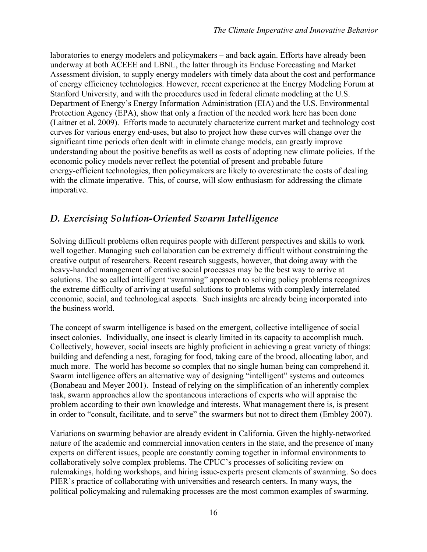laboratories to energy modelers and policymakers – and back again. Efforts have already been underway at both ACEEE and LBNL, the latter through its Enduse Forecasting and Market Assessment division, to supply energy modelers with timely data about the cost and performance of energy efficiency technologies. However, recent experience at the Energy Modeling Forum at Stanford University, and with the procedures used in federal climate modeling at the U.S. Department of Energy's Energy Information Administration (EIA) and the U.S. Environmental Protection Agency (EPA), show that only a fraction of the needed work here has been done (Laitner et al. 2009). Efforts made to accurately characterize current market and technology cost curves for various energy end-uses, but also to project how these curves will change over the significant time periods often dealt with in climate change models, can greatly improve understanding about the positive benefits as well as costs of adopting new climate policies. If the economic policy models never reflect the potential of present and probable future energy-efficient technologies, then policymakers are likely to overestimate the costs of dealing with the climate imperative. This, of course, will slow enthusiasm for addressing the climate imperative.

#### *D. Exercising Solution-Oriented Swarm Intelligence*

Solving difficult problems often requires people with different perspectives and skills to work well together. Managing such collaboration can be extremely difficult without constraining the creative output of researchers. Recent research suggests, however, that doing away with the heavy-handed management of creative social processes may be the best way to arrive at solutions. The so called intelligent "swarming" approach to solving policy problems recognizes the extreme difficulty of arriving at useful solutions to problems with complexly interrelated economic, social, and technological aspects. Such insights are already being incorporated into the business world.

The concept of swarm intelligence is based on the emergent, collective intelligence of social insect colonies. Individually, one insect is clearly limited in its capacity to accomplish much. Collectively, however, social insects are highly proficient in achieving a great variety of things: building and defending a nest, foraging for food, taking care of the brood, allocating labor, and much more. The world has become so complex that no single human being can comprehend it. Swarm intelligence offers an alternative way of designing "intelligent" systems and outcomes (Bonabeau and Meyer 2001). Instead of relying on the simplification of an inherently complex task, swarm approaches allow the spontaneous interactions of experts who will appraise the problem according to their own knowledge and interests. What management there is, is present in order to "consult, facilitate, and to serve" the swarmers but not to direct them (Embley 2007).

Variations on swarming behavior are already evident in California. Given the highly-networked nature of the academic and commercial innovation centers in the state, and the presence of many experts on different issues, people are constantly coming together in informal environments to collaboratively solve complex problems. The CPUC's processes of soliciting review on rulemakings, holding workshops, and hiring issue-experts present elements of swarming. So does PIER's practice of collaborating with universities and research centers. In many ways, the political policymaking and rulemaking processes are the most common examples of swarming.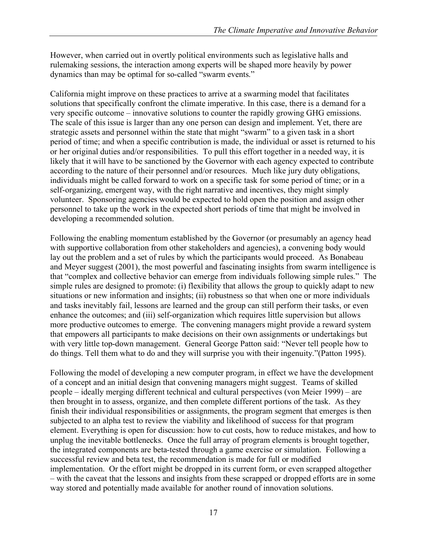However, when carried out in overtly political environments such as legislative halls and rulemaking sessions, the interaction among experts will be shaped more heavily by power dynamics than may be optimal for so-called "swarm events."

California might improve on these practices to arrive at a swarming model that facilitates solutions that specifically confront the climate imperative. In this case, there is a demand for a very specific outcome – innovative solutions to counter the rapidly growing GHG emissions. The scale of this issue is larger than any one person can design and implement. Yet, there are strategic assets and personnel within the state that might "swarm" to a given task in a short period of time; and when a specific contribution is made, the individual or asset is returned to his or her original duties and/or responsibilities. To pull this effort together in a needed way, it is likely that it will have to be sanctioned by the Governor with each agency expected to contribute according to the nature of their personnel and/or resources. Much like jury duty obligations, individuals might be called forward to work on a specific task for some period of time; or in a self-organizing, emergent way, with the right narrative and incentives, they might simply volunteer. Sponsoring agencies would be expected to hold open the position and assign other personnel to take up the work in the expected short periods of time that might be involved in developing a recommended solution.

Following the enabling momentum established by the Governor (or presumably an agency head with supportive collaboration from other stakeholders and agencies), a convening body would lay out the problem and a set of rules by which the participants would proceed. As Bonabeau and Meyer suggest (2001), the most powerful and fascinating insights from swarm intelligence is that "complex and collective behavior can emerge from individuals following simple rules." The simple rules are designed to promote: (i) flexibility that allows the group to quickly adapt to new situations or new information and insights; (ii) robustness so that when one or more individuals and tasks inevitably fail, lessons are learned and the group can still perform their tasks, or even enhance the outcomes; and (iii) self-organization which requires little supervision but allows more productive outcomes to emerge. The convening managers might provide a reward system that empowers all participants to make decisions on their own assignments or undertakings but with very little top-down management. General George Patton said: "Never tell people how to do things. Tell them what to do and they will surprise you with their ingenuity."(Patton 1995).

Following the model of developing a new computer program, in effect we have the development of a concept and an initial design that convening managers might suggest. Teams of skilled people – ideally merging different technical and cultural perspectives (von Meier 1999) – are then brought in to assess, organize, and then complete different portions of the task. As they finish their individual responsibilities or assignments, the program segment that emerges is then subjected to an alpha test to review the viability and likelihood of success for that program element. Everything is open for discussion: how to cut costs, how to reduce mistakes, and how to unplug the inevitable bottlenecks. Once the full array of program elements is brought together, the integrated components are beta-tested through a game exercise or simulation. Following a successful review and beta test, the recommendation is made for full or modified implementation. Or the effort might be dropped in its current form, or even scrapped altogether – with the caveat that the lessons and insights from these scrapped or dropped efforts are in some way stored and potentially made available for another round of innovation solutions.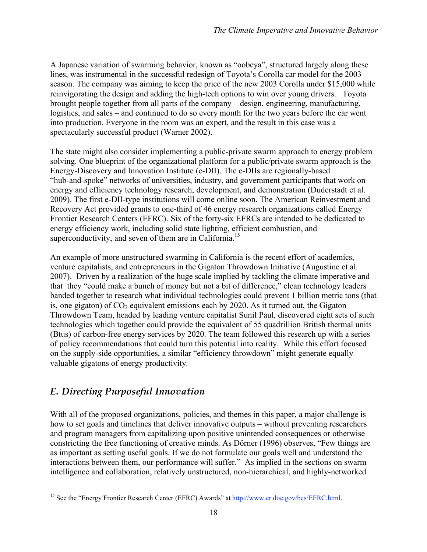A Japanese variation of swarming behavior, known as "oobeya", structured largely along these lines, was instrumental in the successful redesign of Toyota's Corolla car model for the 2003 season. The company was aiming to keep the price of the new 2003 Corolla under \$15,000 while reinvigorating the design and adding the high-tech options to win over young drivers. Toyota brought people together from all parts of the company – design, engineering, manufacturing, logistics, and sales – and continued to do so every month for the two years before the car went into production. Everyone in the room was an expert, and the result in this case was a spectacularly successful product (Warner 2002).

The state might also consider implementing a public-private swarm approach to energy problem solving. One blueprint of the organizational platform for a public/private swarm approach is the Energy-Discovery and Innovation Institute (e-DII). The e-DIIs are regionally-based "hub-and-spoke" networks of universities, industry, and government participants that work on energy and efficiency technology research, development, and demonstration (Duderstadt et al. 2009). The first e-DII-type institutions will come online soon. The American Reinvestment and Recovery Act provided grants to one-third of 46 energy research organizations called Energy Frontier Research Centers (EFRC). Six of the forty-six EFRCs are intended to be dedicated to energy efficiency work, including solid state lighting, efficient combustion, and superconductivity, and seven of them are in California.<sup>15</sup>

An example of more unstructured swarming in California is the recent effort of academics, venture capitalists, and entrepreneurs in the Gigaton Throwdown Initiative (Augustine et al. 2007). Driven by a realization of the huge scale implied by tackling the climate imperative and that they "could make a bunch of money but not a bit of difference," clean technology leaders banded together to research what individual technologies could prevent 1 billion metric tons (that is, one gigaton) of  $CO<sub>2</sub>$  equivalent emissions each by 2020. As it turned out, the Gigaton Throwdown Team, headed by leading venture capitalist Sunil Paul, discovered eight sets of such technologies which together could provide the equivalent of 55 quadrillion British thermal units (Btus) of carbon-free energy services by 2020. The team followed this research up with a series of policy recommendations that could turn this potential into reality. While this effort focused on the supply-side opportunities, a similar "efficiency throwdown" might generate equally valuable gigatons of energy productivity.

### *E. Directing Purposeful Innovation*

With all of the proposed organizations, policies, and themes in this paper, a major challenge is how to set goals and timelines that deliver innovative outputs – without preventing researchers and program managers from capitalizing upon positive unintended consequences or otherwise constricting the free functioning of creative minds. As Dörner (1996) observes, "Few things are as important as setting useful goals. If we do not formulate our goals well and understand the interactions between them, our performance will suffer." As implied in the sections on swarm intelligence and collaboration, relatively unstructured, non-hierarchical, and highly-networked

<sup>&</sup>lt;sup>15</sup> See the "Energy Frontier Research Center (EFRC) Awards" at http://www.er.doe.gov/bes/EFRC.html.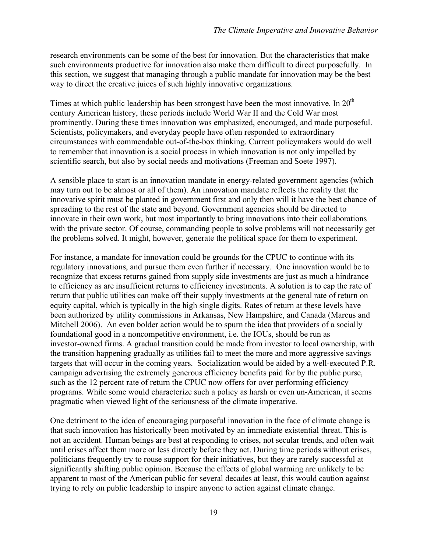research environments can be some of the best for innovation. But the characteristics that make such environments productive for innovation also make them difficult to direct purposefully. In this section, we suggest that managing through a public mandate for innovation may be the best way to direct the creative juices of such highly innovative organizations.

Times at which public leadership has been strongest have been the most innovative. In  $20<sup>th</sup>$ century American history, these periods include World War II and the Cold War most prominently. During these times innovation was emphasized, encouraged, and made purposeful. Scientists, policymakers, and everyday people have often responded to extraordinary circumstances with commendable out-of-the-box thinking. Current policymakers would do well to remember that innovation is a social process in which innovation is not only impelled by scientific search, but also by social needs and motivations (Freeman and Soete 1997).

A sensible place to start is an innovation mandate in energy-related government agencies (which may turn out to be almost or all of them). An innovation mandate reflects the reality that the innovative spirit must be planted in government first and only then will it have the best chance of spreading to the rest of the state and beyond. Government agencies should be directed to innovate in their own work, but most importantly to bring innovations into their collaborations with the private sector. Of course, commanding people to solve problems will not necessarily get the problems solved. It might, however, generate the political space for them to experiment.

For instance, a mandate for innovation could be grounds for the CPUC to continue with its regulatory innovations, and pursue them even further if necessary. One innovation would be to recognize that excess returns gained from supply side investments are just as much a hindrance to efficiency as are insufficient returns to efficiency investments. A solution is to cap the rate of return that public utilities can make off their supply investments at the general rate of return on equity capital, which is typically in the high single digits. Rates of return at these levels have been authorized by utility commissions in Arkansas, New Hampshire, and Canada (Marcus and Mitchell 2006). An even bolder action would be to spurn the idea that providers of a socially foundational good in a noncompetitive environment, i.e. the IOUs, should be run as investor-owned firms. A gradual transition could be made from investor to local ownership, with the transition happening gradually as utilities fail to meet the more and more aggressive savings targets that will occur in the coming years. Socialization would be aided by a well-executed P.R. campaign advertising the extremely generous efficiency benefits paid for by the public purse, such as the 12 percent rate of return the CPUC now offers for over performing efficiency programs. While some would characterize such a policy as harsh or even un-American, it seems pragmatic when viewed light of the seriousness of the climate imperative.

One detriment to the idea of encouraging purposeful innovation in the face of climate change is that such innovation has historically been motivated by an immediate existential threat. This is not an accident. Human beings are best at responding to crises, not secular trends, and often wait until crises affect them more or less directly before they act. During time periods without crises, politicians frequently try to rouse support for their initiatives, but they are rarely successful at significantly shifting public opinion. Because the effects of global warming are unlikely to be apparent to most of the American public for several decades at least, this would caution against trying to rely on public leadership to inspire anyone to action against climate change.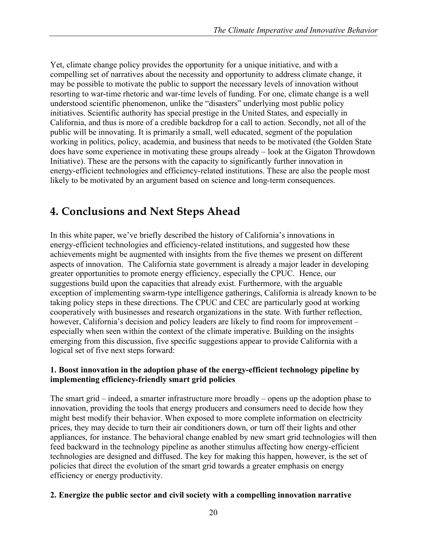Yet, climate change policy provides the opportunity for a unique initiative, and with a compelling set of narratives about the necessity and opportunity to address climate change, it may be possible to motivate the public to support the necessary levels of innovation without resorting to war-time rhetoric and war-time levels of funding. For one, climate change is a well understood scientific phenomenon, unlike the "disasters" underlying most public policy initiatives. Scientific authority has special prestige in the United States, and especially in California, and thus is more of a credible backdrop for a call to action. Secondly, not all of the public will be innovating. It is primarily a small, well educated, segment of the population working in politics, policy, academia, and business that needs to be motivated (the Golden State does have some experience in motivating these groups already – look at the Gigaton Throwdown Initiative). These are the persons with the capacity to significantly further innovation in energy-efficient technologies and efficiency-related institutions. These are also the people most likely to be motivated by an argument based on science and long-term consequences.

## **4. Conclusions and Next Steps Ahead**

In this white paper, we've briefly described the history of California's innovations in energy-efficient technologies and efficiency-related institutions, and suggested how these achievements might be augmented with insights from the five themes we present on different aspects of innovation. The California state government is already a major leader in developing greater opportunities to promote energy efficiency, especially the CPUC. Hence, our suggestions build upon the capacities that already exist. Furthermore, with the arguable exception of implementing swarm-type intelligence gatherings, California is already known to be taking policy steps in these directions. The CPUC and CEC are particularly good at working cooperatively with businesses and research organizations in the state. With further reflection, however, California's decision and policy leaders are likely to find room for improvement – especially when seen within the context of the climate imperative. Building on the insights emerging from this discussion, five specific suggestions appear to provide California with a logical set of five next steps forward:

#### **1. Boost innovation in the adoption phase of the energy-efficient technology pipeline by implementing efficiency-friendly smart grid policies**

The smart grid – indeed, a smarter infrastructure more broadly – opens up the adoption phase to innovation, providing the tools that energy producers and consumers need to decide how they might best modify their behavior. When exposed to more complete information on electricity prices, they may decide to turn their air conditioners down, or turn off their lights and other appliances, for instance. The behavioral change enabled by new smart grid technologies will then feed backward in the technology pipeline as another stimulus affecting how energy-efficient technologies are designed and diffused. The key for making this happen, however, is the set of policies that direct the evolution of the smart grid towards a greater emphasis on energy efficiency or energy productivity.

#### **2. Energize the public sector and civil society with a compelling innovation narrative**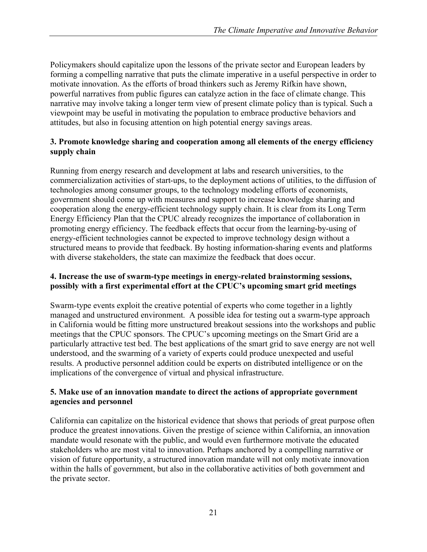Policymakers should capitalize upon the lessons of the private sector and European leaders by forming a compelling narrative that puts the climate imperative in a useful perspective in order to motivate innovation. As the efforts of broad thinkers such as Jeremy Rifkin have shown, powerful narratives from public figures can catalyze action in the face of climate change. This narrative may involve taking a longer term view of present climate policy than is typical. Such a viewpoint may be useful in motivating the population to embrace productive behaviors and attitudes, but also in focusing attention on high potential energy savings areas.

#### **3. Promote knowledge sharing and cooperation among all elements of the energy efficiency supply chain**

Running from energy research and development at labs and research universities, to the commercialization activities of start-ups, to the deployment actions of utilities, to the diffusion of technologies among consumer groups, to the technology modeling efforts of economists, government should come up with measures and support to increase knowledge sharing and cooperation along the energy-efficient technology supply chain. It is clear from its Long Term Energy Efficiency Plan that the CPUC already recognizes the importance of collaboration in promoting energy efficiency. The feedback effects that occur from the learning-by-using of energy-efficient technologies cannot be expected to improve technology design without a structured means to provide that feedback. By hosting information-sharing events and platforms with diverse stakeholders, the state can maximize the feedback that does occur.

#### **4. Increase the use of swarm-type meetings in energy-related brainstorming sessions, possibly with a first experimental effort at the CPUC's upcoming smart grid meetings**

Swarm-type events exploit the creative potential of experts who come together in a lightly managed and unstructured environment. A possible idea for testing out a swarm-type approach in California would be fitting more unstructured breakout sessions into the workshops and public meetings that the CPUC sponsors. The CPUC's upcoming meetings on the Smart Grid are a particularly attractive test bed. The best applications of the smart grid to save energy are not well understood, and the swarming of a variety of experts could produce unexpected and useful results. A productive personnel addition could be experts on distributed intelligence or on the implications of the convergence of virtual and physical infrastructure.

#### **5. Make use of an innovation mandate to direct the actions of appropriate government agencies and personnel**

California can capitalize on the historical evidence that shows that periods of great purpose often produce the greatest innovations. Given the prestige of science within California, an innovation mandate would resonate with the public, and would even furthermore motivate the educated stakeholders who are most vital to innovation. Perhaps anchored by a compelling narrative or vision of future opportunity, a structured innovation mandate will not only motivate innovation within the halls of government, but also in the collaborative activities of both government and the private sector.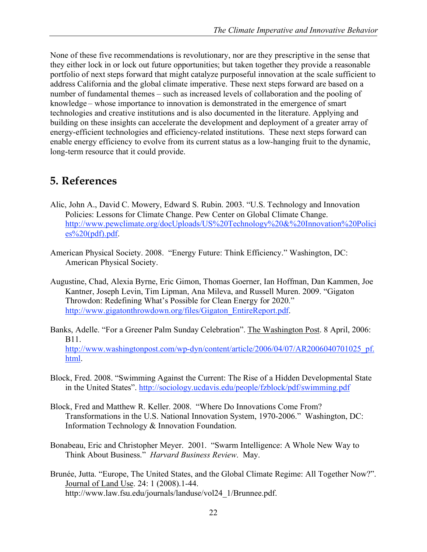None of these five recommendations is revolutionary, nor are they prescriptive in the sense that they either lock in or lock out future opportunities; but taken together they provide a reasonable portfolio of next steps forward that might catalyze purposeful innovation at the scale sufficient to address California and the global climate imperative. These next steps forward are based on a number of fundamental themes – such as increased levels of collaboration and the pooling of knowledge – whose importance to innovation is demonstrated in the emergence of smart technologies and creative institutions and is also documented in the literature. Applying and building on these insights can accelerate the development and deployment of a greater array of energy-efficient technologies and efficiency-related institutions. These next steps forward can enable energy efficiency to evolve from its current status as a low-hanging fruit to the dynamic, long-term resource that it could provide.

## **5. References**

- Alic, John A., David C. Mowery, Edward S. Rubin. 2003. "U.S. Technology and Innovation Policies: Lessons for Climate Change. Pew Center on Global Climate Change. http://www.pewclimate.org/docUploads/US%20Technology%20&%20Innovation%20Polici  $es\%20(pdf)$ .pdf.
- American Physical Society. 2008. "Energy Future: Think Efficiency." Washington, DC: American Physical Society.
- Augustine, Chad, Alexia Byrne, Eric Gimon, Thomas Goerner, Ian Hoffman, Dan Kammen, Joe Kantner, Joseph Levin, Tim Lipman, Ana Mileva, and Russell Muren. 2009. "Gigaton Throwdon: Redefining What's Possible for Clean Energy for 2020." http://www.gigatonthrowdown.org/files/Gigaton\_EntireReport.pdf.
- Banks, Adelle. "For a Greener Palm Sunday Celebration". The Washington Post. 8 April, 2006: B11. http://www.washingtonpost.com/wp-dyn/content/article/2006/04/07/AR2006040701025\_pf. html.
- Block, Fred. 2008. "Swimming Against the Current: The Rise of a Hidden Developmental State in the United States". http://sociology.ucdavis.edu/people/fzblock/pdf/swimming.pdf
- Block, Fred and Matthew R. Keller. 2008. "Where Do Innovations Come From? Transformations in the U.S. National Innovation System, 1970-2006." Washington, DC: Information Technology & Innovation Foundation.
- Bonabeau, Eric and Christopher Meyer. 2001. "Swarm Intelligence: A Whole New Way to Think About Business." *Harvard Business Review*. May.
- Brunée, Jutta. "Europe, The United States, and the Global Climate Regime: All Together Now?". Journal of Land Use. 24: 1 (2008).1-44. http://www.law.fsu.edu/journals/landuse/vol24\_1/Brunnee.pdf.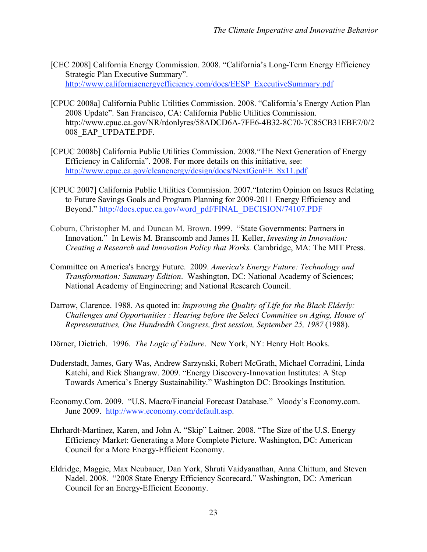- [CEC 2008] California Energy Commission. 2008. "California's Long-Term Energy Efficiency Strategic Plan Executive Summary". http://www.californiaenergyefficiency.com/docs/EESP\_ExecutiveSummary.pdf
- [CPUC 2008a] California Public Utilities Commission. 2008. "California's Energy Action Plan 2008 Update". San Francisco, CA: California Public Utilities Commission. http://www.cpuc.ca.gov/NR/rdonlyres/58ADCD6A-7FE6-4B32-8C70-7C85CB31EBE7/0/2 008\_EAP\_UPDATE.PDF.
- [CPUC 2008b] California Public Utilities Commission. 2008."The Next Generation of Energy Efficiency in California". 2008. For more details on this initiative, see: http://www.cpuc.ca.gov/cleanenergy/design/docs/NextGenEE\_8x11.pdf
- [CPUC 2007] California Public Utilities Commission. 2007."Interim Opinion on Issues Relating to Future Savings Goals and Program Planning for 2009-2011 Energy Efficiency and Beyond." http://docs.cpuc.ca.gov/word\_pdf/FINAL\_DECISION/74107.PDF
- Coburn, Christopher M. and Duncan M. Brown. 1999. "State Governments: Partners in Innovation." In Lewis M. Branscomb and James H. Keller, *Investing in Innovation: Creating a Research and Innovation Policy that Works.* Cambridge, MA: The MIT Press.
- Committee on America's Energy Future. 2009. *America's Energy Future: Technology and Transformation: Summary Edition*. Washington, DC: National Academy of Sciences; National Academy of Engineering; and National Research Council.
- Darrow, Clarence. 1988. As quoted in: *Improving the Quality of Life for the Black Elderly: Challenges and Opportunities : Hearing before the Select Committee on Aging, House of Representatives, One Hundredth Congress, first session, September 25, 1987* (1988).

Dörner, Dietrich. 1996. *The Logic of Failure*. New York, NY: Henry Holt Books.

- Duderstadt, James, Gary Was, Andrew Sarzynski, Robert McGrath, Michael Corradini, Linda Katehi, and Rick Shangraw. 2009. "Energy Discovery-Innovation Institutes: A Step Towards America's Energy Sustainability." Washington DC: Brookings Institution.
- Economy.Com. 2009. "U.S. Macro/Financial Forecast Database." Moody's Economy.com. June 2009. http://www.economy.com/default.asp.
- Ehrhardt-Martinez, Karen, and John A. "Skip" Laitner. 2008. "The Size of the U.S. Energy Efficiency Market: Generating a More Complete Picture. Washington, DC: American Council for a More Energy-Efficient Economy.
- Eldridge, Maggie, Max Neubauer, Dan York, Shruti Vaidyanathan, Anna Chittum, and Steven Nadel. 2008. "2008 State Energy Efficiency Scorecard." Washington, DC: American Council for an Energy-Efficient Economy.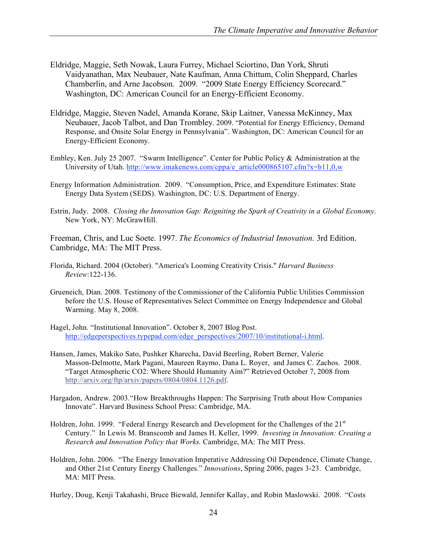- Eldridge, Maggie, Seth Nowak, Laura Furrey, Michael Sciortino, Dan York, Shruti Vaidyanathan, Max Neubauer, Nate Kaufman, Anna Chittum, Colin Sheppard, Charles Chamberlin, and Arne Jacobson. 2009. "2009 State Energy Efficiency Scorecard." Washington, DC: American Council for an Energy-Efficient Economy.
- Eldridge, Maggie, Steven Nadel, Amanda Korane, Skip Laitner, Vanessa McKinney, Max Neubauer, Jacob Talbot, and Dan Trombley. 2009. "Potential for Energy Efficiency, Demand Response, and Onsite Solar Energy in Pennsylvania". Washington, DC: American Council for an Energy-Efficient Economy.
- Embley, Ken. July 25 2007. "Swarm Intelligence". Center for Public Policy & Administration at the University of Utah. http://www.imakenews.com/cppa/e\_article000865107.cfm?x=b11,0,w
- Energy Information Administration. 2009. "Consumption, Price, and Expenditure Estimates: State Energy Data System (SEDS). Washington, DC: U.S. Department of Energy.
- Estrin, Judy. 2008. *Closing the Innovation Gap: Reigniting the Spark of Creativity in a Global Economy*. New York, NY: McGrawHill.

Freeman, Chris, and Luc Soete. 1997. *The Economics of Industrial Innovation*. 3rd Edition. Cambridge, MA: The MIT Press.

- Florida, Richard. 2004 (October). "America's Looming Creativity Crisis." *Harvard Business Review*:122-136.
- Grueneich, Dian. 2008. Testimony of the Commissioner of the California Public Utilities Commission before the U.S. House of Representatives Select Committee on Energy Independence and Global Warming. May 8, 2008.
- Hagel, John. "Institutional Innovation". October 8, 2007 Blog Post. http://edgeperspectives.typepad.com/edge\_perspectives/2007/10/institutional-i.html.
- Hansen, James, Makiko Sato, Pushker Kharecha, David Beerling, Robert Berner, Valerie Masson-Delmotte, Mark Pagani, Maureen Raymo, Dana L. Royer, and James C. Zachos. 2008. "Target Atmospheric CO2: Where Should Humanity Aim?" Retrieved October 7, 2008 from http://arxiv.org/ftp/arxiv/papers/0804/0804.1126.pdf.
- Hargadon, Andrew. 2003."How Breakthroughs Happen: The Surprising Truth about How Companies Innovate". Harvard Business School Press: Cambridge, MA.
- Holdren, John. 1999. "Federal Energy Research and Development for the Challenges of the  $21<sup>st</sup>$ Century." In Lewis M. Branscomb and James H. Keller, 1999. *Investing in Innovation: Creating a Research and Innovation Policy that Works.* Cambridge, MA: The MIT Press.
- Holdren, John. 2006. "The Energy Innovation Imperative Addressing Oil Dependence, Climate Change, and Other 21st Century Energy Challenges." *Innovations*, Spring 2006, pages 3-23. Cambridge, MA: MIT Press.

Hurley, Doug, Kenji Takahashi, Bruce Biewald, Jennifer Kallay, and Robin Maslowski. 2008. "Costs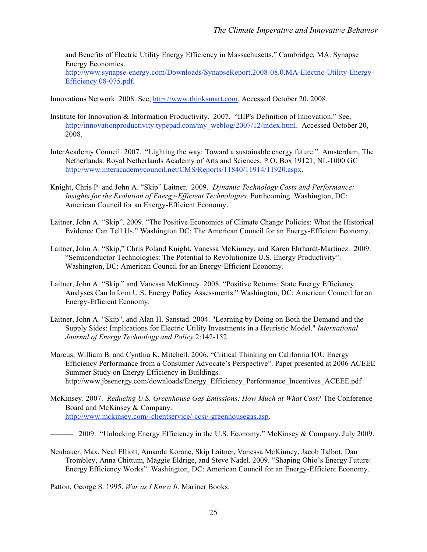and Benefits of Electric Utility Energy Efficiency in Massachusetts." Cambridge, MA: Synapse Energy Economics.

http://www.synapse-energy.com/Downloads/SynapseReport.2008-08.0.MA-Electric-Utility-Energy-Efficiency.08-075.pdf.

Innovations Network. 2008. See, http://www.thinksmart.com. Accessed October 20, 2008.

- Institute for Innovation & Information Productivity. 2007. "IIIP's Definition of Innovation." See, http://innovationproductivity.typepad.com/my\_weblog/2007/12/index.html. Accessed October 20, 2008.
- InterAcademy Council. 2007. "Lighting the way: Toward a sustainable energy future." Amsterdam, The Netherlands: Royal Netherlands Academy of Arts and Sciences, P.O. Box 19121, NL-1000 GC http://www.interacademycouncil.net/CMS/Reports/11840/11914/11920.aspx.
- Knight, Chris P. and John A. "Skip" Laitner. 2009. *Dynamic Technology Costs and Performance: Insights for the Evolution of Energy-Efficient Technologies.* Forthcoming. Washington, DC: American Council for an Energy-Efficient Economy.
- Laitner, John A. "Skip". 2009. "The Positive Economics of Climate Change Policies: What the Historical Evidence Can Tell Us." Washington DC: The American Council for an Energy-Efficient Economy.
- Laitner, John A. "Skip," Chris Poland Knight, Vanessa McKinney, and Karen Ehrhardt-Martinez. 2009. "Semiconductor Technologies: The Potential to Revolutionize U.S. Energy Productivity". Washington, DC: American Council for an Energy-Efficient Economy.
- Laitner, John A. "Skip." and Vanessa McKinney. 2008. "Positive Returns: State Energy Efficiency Analyses Can Inform U.S. Energy Policy Assessments." Washington, DC: American Council for an Energy-Efficient Economy.
- Laitner, John A. "Skip", and Alan H. Sanstad. 2004. "Learning by Doing on Both the Demand and the Supply Sides: Implications for Electric Utility Investments in a Heuristic Model." *International Journal of Energy Technology and Policy* 2:142-152.
- Marcus, William B. and Cynthia K. Mitchell. 2006. "Critical Thinking on California IOU Energy Efficiency Performance from a Consumer Advocate's Perspective". Paper presented at 2006 ACEEE Summer Study on Energy Efficiency in Buildings. http://www.jbsenergy.com/downloads/Energy\_Efficiency\_Performance\_Incentives\_ACEEE.pdf
- McKinsey. 2007. *Reducing U.S. Greenhouse Gas Emissions: How Much at What Cost?* The Conference Board and McKinsey & Company. http://www.mckinsey.com/-clientservice/-ccsi/-greenhousegas.asp.

———. 2009. "Unlocking Energy Efficiency in the U.S. Economy." McKinsey & Company. July 2009.

Neubauer, Max, Neal Elliott, Amanda Korane, Skip Laitner, Vanessa McKinney, Jacob Talbot, Dan Trombley, Anna Chittum, Maggie Eldrige, and Steve Nadel. 2009. "Shaping Ohio's Energy Future: Energy Efficiency Works". Washington, DC: American Council for an Energy-Efficient Economy.

Patton, George S. 1995. *War as I Knew It.* Mariner Books.